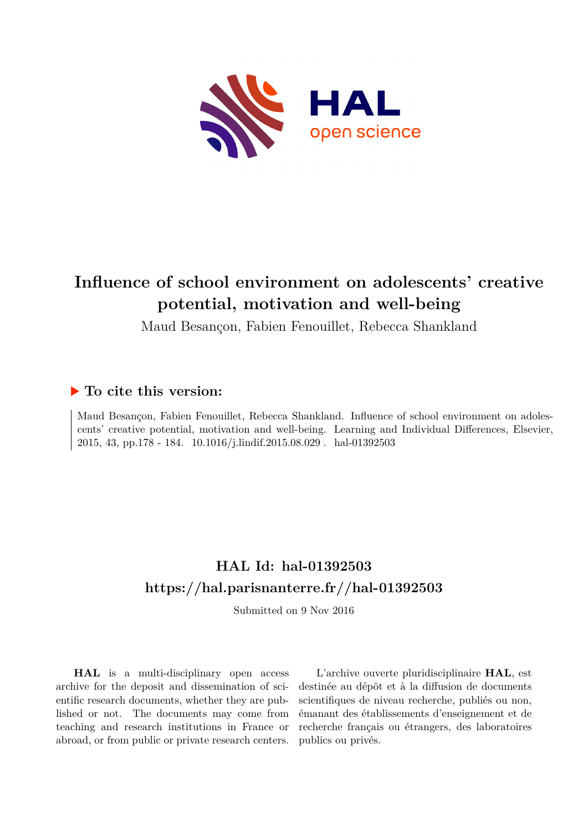

# **Influence of school environment on adolescents' creative potential, motivation and well-being**

Maud Besançon, Fabien Fenouillet, Rebecca Shankland

# **To cite this version:**

Maud Besançon, Fabien Fenouillet, Rebecca Shankland. Influence of school environment on adolescents' creative potential, motivation and well-being. Learning and Individual Differences, Elsevier, 2015, 43, pp.178 - 184. 10.1016/j.lindif.2015.08.029 . hal-01392503

# **HAL Id: hal-01392503 <https://hal.parisnanterre.fr//hal-01392503>**

Submitted on 9 Nov 2016

**HAL** is a multi-disciplinary open access archive for the deposit and dissemination of scientific research documents, whether they are published or not. The documents may come from teaching and research institutions in France or abroad, or from public or private research centers.

L'archive ouverte pluridisciplinaire **HAL**, est destinée au dépôt et à la diffusion de documents scientifiques de niveau recherche, publiés ou non, émanant des établissements d'enseignement et de recherche français ou étrangers, des laboratoires publics ou privés.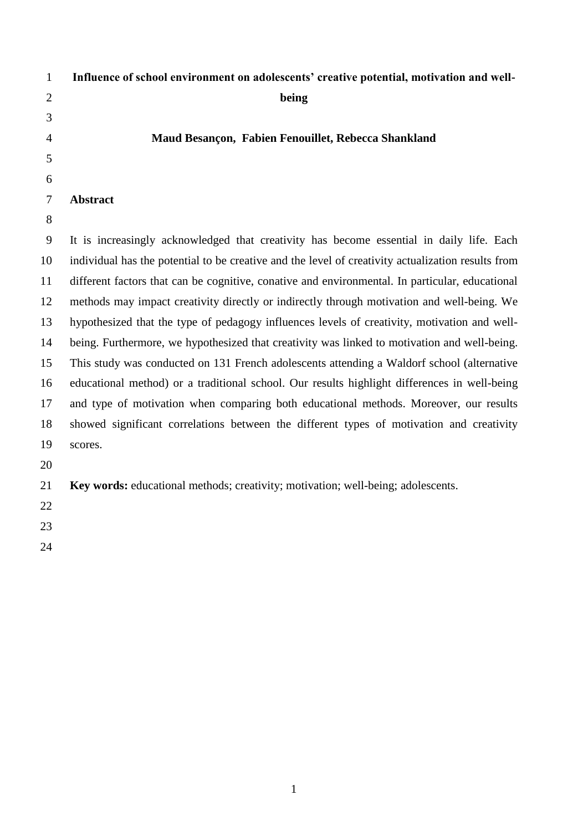| $\mathbf{1}$   | Influence of school environment on adolescents' creative potential, motivation and well-           |
|----------------|----------------------------------------------------------------------------------------------------|
| $\overline{2}$ | being                                                                                              |
| 3              |                                                                                                    |
| 4              | Maud Besançon, Fabien Fenouillet, Rebecca Shankland                                                |
| 5              |                                                                                                    |
| 6              |                                                                                                    |
| $\tau$         | <b>Abstract</b>                                                                                    |
| 8              |                                                                                                    |
| 9              | It is increasingly acknowledged that creativity has become essential in daily life. Each           |
| 10             | individual has the potential to be creative and the level of creativity actualization results from |
| 11             | different factors that can be cognitive, conative and environmental. In particular, educational    |
| 12             | methods may impact creativity directly or indirectly through motivation and well-being. We         |
| 13             | hypothesized that the type of pedagogy influences levels of creativity, motivation and well-       |
| 14             | being. Furthermore, we hypothesized that creativity was linked to motivation and well-being.       |
| 15             | This study was conducted on 131 French adolescents attending a Waldorf school (alternative         |
| 16             | educational method) or a traditional school. Our results highlight differences in well-being       |
| 17             | and type of motivation when comparing both educational methods. Moreover, our results              |
| 18             | showed significant correlations between the different types of motivation and creativity           |
| 19             | scores.                                                                                            |
| 20             |                                                                                                    |
| 21             | Key words: educational methods; creativity; motivation; well-being; adolescents.                   |
| 22             |                                                                                                    |
| 23             |                                                                                                    |
| 24             |                                                                                                    |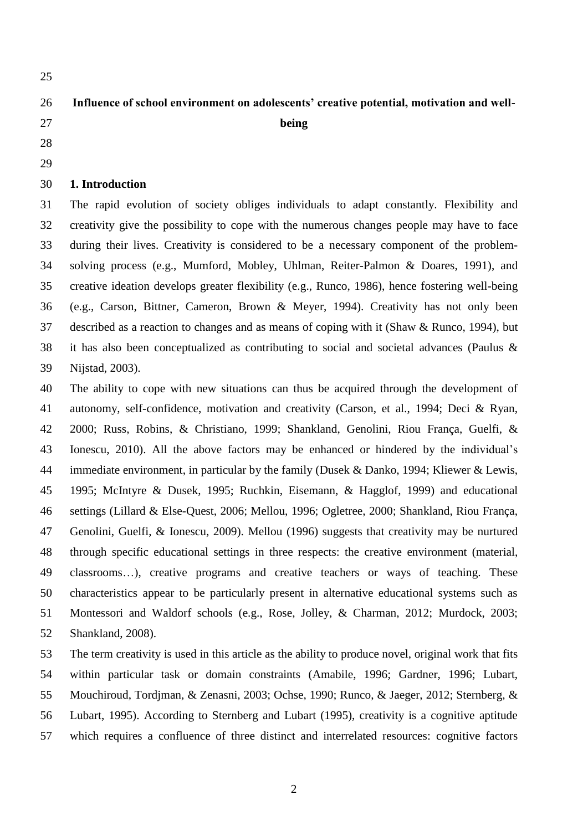# **Influence of school environment on adolescents' creative potential, motivation and well-**

- **being**
- 
- 

# **1. Introduction**

 The rapid evolution of society obliges individuals to adapt constantly. Flexibility and creativity give the possibility to cope with the numerous changes people may have to face during their lives. Creativity is considered to be a necessary component of the problem- solving process (e.g., Mumford, Mobley, Uhlman, Reiter-Palmon & Doares, 1991), and creative ideation develops greater flexibility (e.g., Runco, 1986), hence fostering well-being (e.g., Carson, Bittner, Cameron, Brown & Meyer, 1994). Creativity has not only been described as a reaction to changes and as means of coping with it (Shaw & Runco, 1994), but it has also been conceptualized as contributing to social and societal advances (Paulus & Nijstad, 2003).

 The ability to cope with new situations can thus be acquired through the development of autonomy, self-confidence, motivation and creativity (Carson, et al., 1994; Deci & Ryan, 2000; Russ, Robins, & Christiano, 1999; Shankland, Genolini, Riou França, Guelfi, & Ionescu, 2010). All the above factors may be enhanced or hindered by the individual's immediate environment, in particular by the family (Dusek & Danko, 1994; Kliewer & Lewis, 1995; McIntyre & Dusek, 1995; Ruchkin, Eisemann, & Hagglof, 1999) and educational settings (Lillard & Else-Quest, 2006; Mellou, 1996; Ogletree, 2000; Shankland, Riou França, Genolini, Guelfi, & Ionescu, 2009). Mellou (1996) suggests that creativity may be nurtured through specific educational settings in three respects: the creative environment (material, classrooms…), creative programs and creative teachers or ways of teaching. These characteristics appear to be particularly present in alternative educational systems such as Montessori and Waldorf schools (e.g., Rose, Jolley, & Charman, 2012; Murdock, 2003; Shankland, 2008).

 The term creativity is used in this article as the ability to produce novel, original work that fits within particular task or domain constraints (Amabile, 1996; Gardner, 1996; Lubart, Mouchiroud, Tordjman, & Zenasni, 2003; Ochse, 1990; Runco, & Jaeger, 2012; Sternberg, & Lubart, 1995). According to Sternberg and Lubart (1995), creativity is a cognitive aptitude which requires a confluence of three distinct and interrelated resources: cognitive factors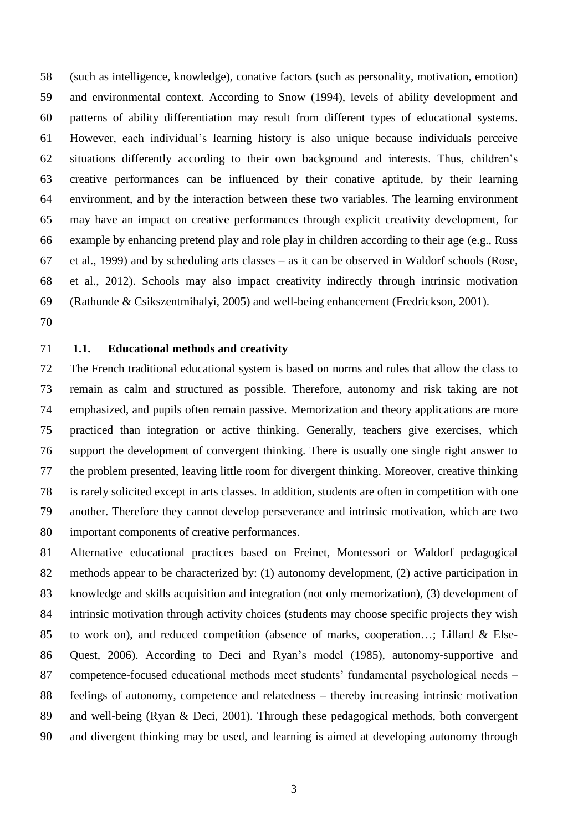(such as intelligence, knowledge), conative factors (such as personality, motivation, emotion) and environmental context. According to Snow (1994), levels of ability development and patterns of ability differentiation may result from different types of educational systems. However, each individual's learning history is also unique because individuals perceive situations differently according to their own background and interests. Thus, children's creative performances can be influenced by their conative aptitude, by their learning environment, and by the interaction between these two variables. The learning environment may have an impact on creative performances through explicit creativity development, for example by enhancing pretend play and role play in children according to their age (e.g., Russ et al., 1999) and by scheduling arts classes – as it can be observed in Waldorf schools (Rose, et al., 2012). Schools may also impact creativity indirectly through intrinsic motivation (Rathunde & Csikszentmihalyi, 2005) and well-being enhancement (Fredrickson, 2001).

# **1.1. Educational methods and creativity**

 The French traditional educational system is based on norms and rules that allow the class to remain as calm and structured as possible. Therefore, autonomy and risk taking are not emphasized, and pupils often remain passive. Memorization and theory applications are more practiced than integration or active thinking. Generally, teachers give exercises, which support the development of convergent thinking. There is usually one single right answer to the problem presented, leaving little room for divergent thinking. Moreover, creative thinking is rarely solicited except in arts classes. In addition, students are often in competition with one another. Therefore they cannot develop perseverance and intrinsic motivation, which are two important components of creative performances.

 Alternative educational practices based on Freinet, Montessori or Waldorf pedagogical methods appear to be characterized by: (1) autonomy development, (2) active participation in knowledge and skills acquisition and integration (not only memorization), (3) development of intrinsic motivation through activity choices (students may choose specific projects they wish to work on), and reduced competition (absence of marks, cooperation…; Lillard & Else- Quest, 2006). According to Deci and Ryan's model (1985), autonomy-supportive and competence-focused educational methods meet students' fundamental psychological needs – feelings of autonomy, competence and relatedness – thereby increasing intrinsic motivation and well-being (Ryan & Deci, 2001). Through these pedagogical methods, both convergent and divergent thinking may be used, and learning is aimed at developing autonomy through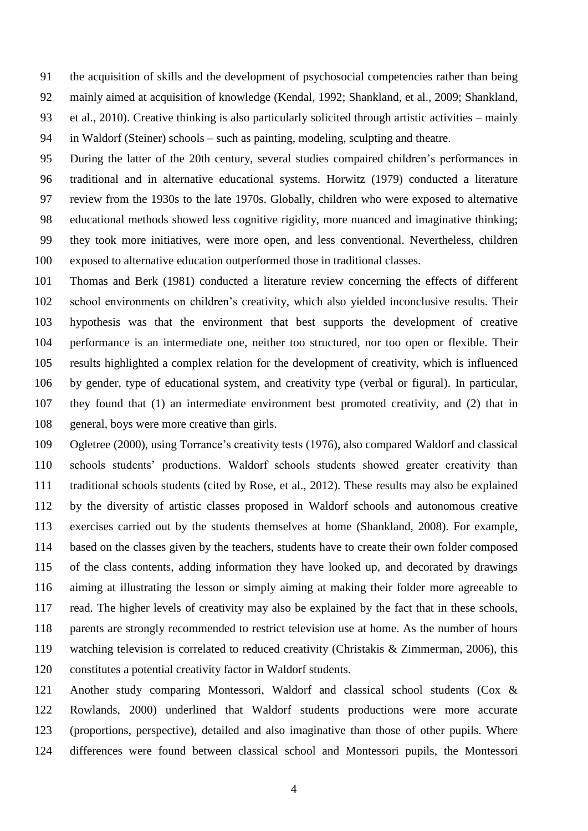the acquisition of skills and the development of psychosocial competencies rather than being mainly aimed at acquisition of knowledge (Kendal, 1992; Shankland, et al., 2009; Shankland, et al., 2010). Creative thinking is also particularly solicited through artistic activities – mainly in Waldorf (Steiner) schools – such as painting, modeling, sculpting and theatre.

 During the latter of the 20th century, several studies compaired children's performances in traditional and in alternative educational systems. Horwitz (1979) conducted a literature review from the 1930s to the late 1970s. Globally, children who were exposed to alternative educational methods showed less cognitive rigidity, more nuanced and imaginative thinking; they took more initiatives, were more open, and less conventional. Nevertheless, children exposed to alternative education outperformed those in traditional classes.

 Thomas and Berk (1981) conducted a literature review concerning the effects of different school environments on children's creativity, which also yielded inconclusive results. Their hypothesis was that the environment that best supports the development of creative performance is an intermediate one, neither too structured, nor too open or flexible. Their results highlighted a complex relation for the development of creativity, which is influenced by gender, type of educational system, and creativity type (verbal or figural). In particular, they found that (1) an intermediate environment best promoted creativity, and (2) that in general, boys were more creative than girls.

 Ogletree (2000), using Torrance's creativity tests (1976), also compared Waldorf and classical schools students' productions. Waldorf schools students showed greater creativity than traditional schools students (cited by Rose, et al., 2012). These results may also be explained by the diversity of artistic classes proposed in Waldorf schools and autonomous creative exercises carried out by the students themselves at home (Shankland, 2008). For example, based on the classes given by the teachers, students have to create their own folder composed of the class contents, adding information they have looked up, and decorated by drawings aiming at illustrating the lesson or simply aiming at making their folder more agreeable to read. The higher levels of creativity may also be explained by the fact that in these schools, parents are strongly recommended to restrict television use at home. As the number of hours watching television is correlated to reduced creativity (Christakis & Zimmerman, 2006), this constitutes a potential creativity factor in Waldorf students.

 Another study comparing Montessori, Waldorf and classical school students (Cox & Rowlands, 2000) underlined that Waldorf students productions were more accurate (proportions, perspective), detailed and also imaginative than those of other pupils. Where differences were found between classical school and Montessori pupils, the Montessori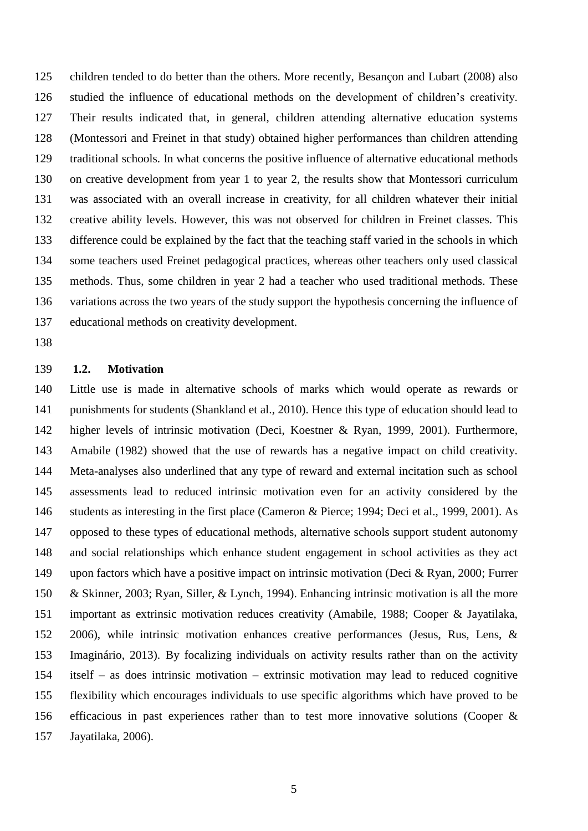children tended to do better than the others. More recently, Besançon and Lubart (2008) also studied the influence of educational methods on the development of children's creativity. Their results indicated that, in general, children attending alternative education systems (Montessori and Freinet in that study) obtained higher performances than children attending traditional schools. In what concerns the positive influence of alternative educational methods on creative development from year 1 to year 2, the results show that Montessori curriculum was associated with an overall increase in creativity, for all children whatever their initial creative ability levels. However, this was not observed for children in Freinet classes. This difference could be explained by the fact that the teaching staff varied in the schools in which some teachers used Freinet pedagogical practices, whereas other teachers only used classical methods. Thus, some children in year 2 had a teacher who used traditional methods. These variations across the two years of the study support the hypothesis concerning the influence of educational methods on creativity development.

#### **1.2. Motivation**

 Little use is made in alternative schools of marks which would operate as rewards or punishments for students (Shankland et al., 2010). Hence this type of education should lead to higher levels of intrinsic motivation (Deci, Koestner & Ryan, 1999, 2001). Furthermore, Amabile (1982) showed that the use of rewards has a negative impact on child creativity. Meta-analyses also underlined that any type of reward and external incitation such as school assessments lead to reduced intrinsic motivation even for an activity considered by the students as interesting in the first place (Cameron & Pierce; 1994; Deci et al., 1999, 2001). As opposed to these types of educational methods, alternative schools support student autonomy and social relationships which enhance student engagement in school activities as they act upon factors which have a positive impact on intrinsic motivation (Deci & Ryan, 2000; Furrer & Skinner, 2003; Ryan, Siller, & Lynch, 1994). Enhancing intrinsic motivation is all the more important as extrinsic motivation reduces creativity (Amabile, 1988; Cooper & Jayatilaka, 2006), while intrinsic motivation enhances creative performances (Jesus, Rus, Lens, & Imaginário, 2013). By focalizing individuals on activity results rather than on the activity itself – as does intrinsic motivation – extrinsic motivation may lead to reduced cognitive flexibility which encourages individuals to use specific algorithms which have proved to be efficacious in past experiences rather than to test more innovative solutions (Cooper & Jayatilaka, 2006).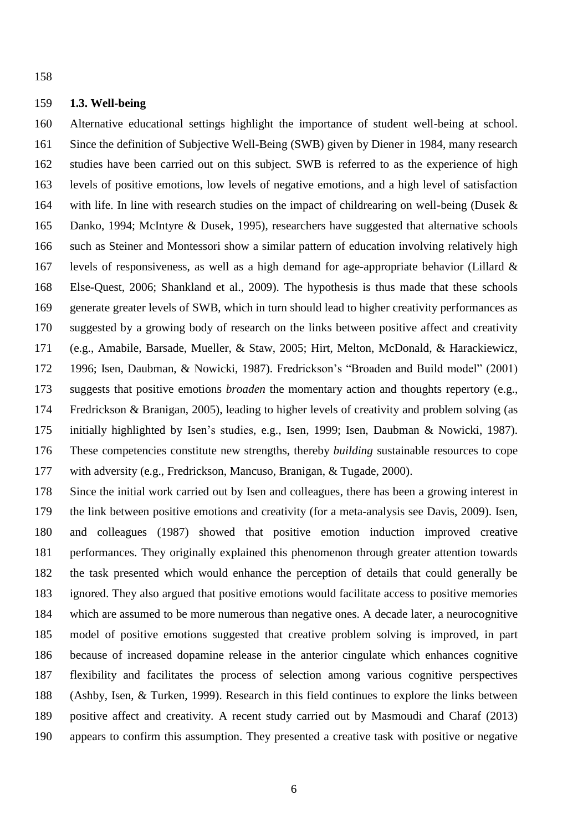# **1.3. Well-being**

 Alternative educational settings highlight the importance of student well-being at school. Since the definition of Subjective Well-Being (SWB) given by Diener in 1984, many research studies have been carried out on this subject. SWB is referred to as the experience of high levels of positive emotions, low levels of negative emotions, and a high level of satisfaction with life. In line with research studies on the impact of childrearing on well-being (Dusek & Danko, 1994; McIntyre & Dusek, 1995), researchers have suggested that alternative schools such as Steiner and Montessori show a similar pattern of education involving relatively high levels of responsiveness, as well as a high demand for age-appropriate behavior (Lillard & Else-Quest, 2006; Shankland et al., 2009). The hypothesis is thus made that these schools generate greater levels of SWB, which in turn should lead to higher creativity performances as suggested by a growing body of research on the links between positive affect and creativity (e.g., Amabile, Barsade, Mueller, & Staw, 2005; Hirt, Melton, McDonald, & Harackiewicz, 1996; Isen, Daubman, & Nowicki, 1987). Fredrickson's "Broaden and Build model" (2001) suggests that positive emotions *broaden* the momentary action and thoughts repertory (e.g., Fredrickson & Branigan, 2005), leading to higher levels of creativity and problem solving (as initially highlighted by Isen's studies, e.g., Isen, 1999; Isen, Daubman & Nowicki, 1987). These competencies constitute new strengths, thereby *building* sustainable resources to cope with adversity (e.g., Fredrickson, Mancuso, Branigan, & Tugade, 2000).

 Since the initial work carried out by Isen and colleagues, there has been a growing interest in the link between positive emotions and creativity (for a meta-analysis see Davis, 2009). Isen, and colleagues (1987) showed that positive emotion induction improved creative performances. They originally explained this phenomenon through greater attention towards the task presented which would enhance the perception of details that could generally be ignored. They also argued that positive emotions would facilitate access to positive memories which are assumed to be more numerous than negative ones. A decade later, a neurocognitive model of positive emotions suggested that creative problem solving is improved, in part because of increased dopamine release in the anterior cingulate which enhances cognitive flexibility and facilitates the process of selection among various cognitive perspectives (Ashby, Isen, & Turken, 1999). Research in this field continues to explore the links between positive affect and creativity. A recent study carried out by Masmoudi and Charaf (2013) appears to confirm this assumption. They presented a creative task with positive or negative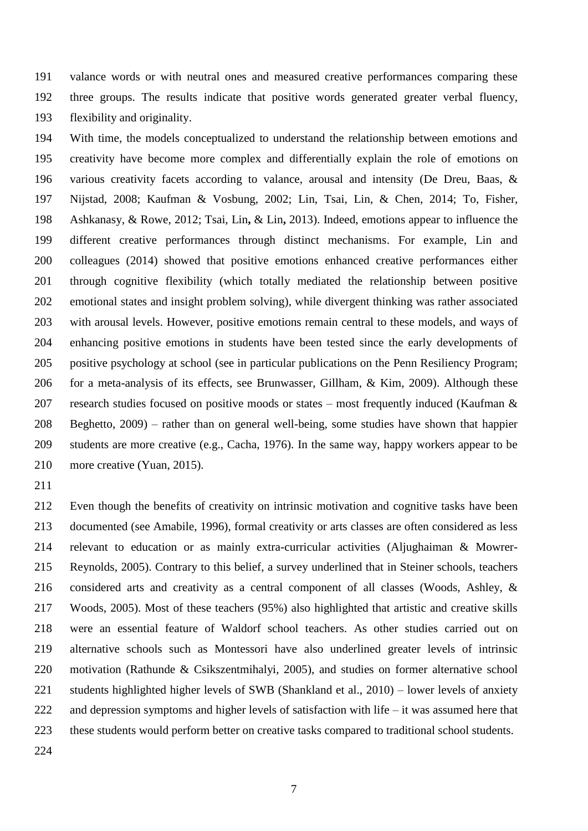valance words or with neutral ones and measured creative performances comparing these three groups. The results indicate that positive words generated greater verbal fluency, flexibility and originality.

 With time, the models conceptualized to understand the relationship between emotions and creativity have become more complex and differentially explain the role of emotions on various creativity facets according to valance, arousal and intensity (De Dreu, Baas, & Nijstad, 2008; Kaufman & Vosbung, 2002; Lin, Tsai, Lin, & Chen, 2014; To, Fisher, Ashkanasy, & Rowe, 2012; Tsai, Lin**,** & Lin**,** 2013). Indeed, emotions appear to influence the different creative performances through distinct mechanisms. For example, Lin and colleagues (2014) showed that positive emotions enhanced creative performances either through cognitive flexibility (which totally mediated the relationship between positive emotional states and insight problem solving), while divergent thinking was rather associated with arousal levels. However, positive emotions remain central to these models, and ways of enhancing positive emotions in students have been tested since the early developments of positive psychology at school (see in particular publications on the Penn Resiliency Program; for a meta-analysis of its effects, see Brunwasser, Gillham, & Kim, 2009). Although these research studies focused on positive moods or states – most frequently induced (Kaufman & Beghetto, 2009) – rather than on general well-being, some studies have shown that happier students are more creative (e.g., Cacha, 1976). In the same way, happy workers appear to be more creative (Yuan, 2015).

 Even though the benefits of creativity on intrinsic motivation and cognitive tasks have been documented (see Amabile, 1996), formal creativity or arts classes are often considered as less relevant to education or as mainly extra-curricular activities (Aljughaiman & Mowrer- Reynolds, 2005). Contrary to this belief, a survey underlined that in Steiner schools, teachers considered arts and creativity as a central component of all classes (Woods, Ashley, & Woods, 2005). Most of these teachers (95%) also highlighted that artistic and creative skills were an essential feature of Waldorf school teachers. As other studies carried out on alternative schools such as Montessori have also underlined greater levels of intrinsic motivation (Rathunde & Csikszentmihalyi, 2005), and studies on former alternative school students highlighted higher levels of SWB (Shankland et al., 2010) – lower levels of anxiety and depression symptoms and higher levels of satisfaction with life – it was assumed here that these students would perform better on creative tasks compared to traditional school students.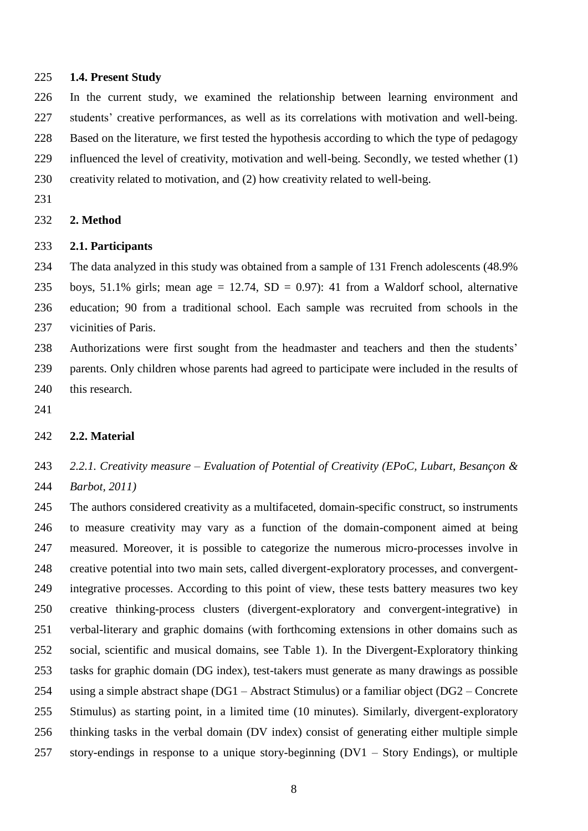### **1.4. Present Study**

 In the current study, we examined the relationship between learning environment and students' creative performances, as well as its correlations with motivation and well-being. Based on the literature, we first tested the hypothesis according to which the type of pedagogy influenced the level of creativity, motivation and well-being. Secondly, we tested whether (1) creativity related to motivation, and (2) how creativity related to well-being.

#### **2. Method**

# **2.1. Participants**

 The data analyzed in this study was obtained from a sample of 131 French adolescents (48.9% 235 boys, 51.1% girls; mean age = 12.74,  $SD = 0.97$ : 41 from a Waldorf school, alternative education; 90 from a traditional school. Each sample was recruited from schools in the vicinities of Paris.

 Authorizations were first sought from the headmaster and teachers and then the students' parents. Only children whose parents had agreed to participate were included in the results of 240 this research.

### **2.2. Material**

# *2.2.1. Creativity measure – Evaluation of Potential of Creativity (EPoC, Lubart, Besançon & Barbot, 2011)*

 The authors considered creativity as a multifaceted, domain-specific construct, so instruments to measure creativity may vary as a function of the domain-component aimed at being measured. Moreover, it is possible to categorize the numerous micro-processes involve in creative potential into two main sets, called divergent-exploratory processes, and convergent- integrative processes. According to this point of view, these tests battery measures two key creative thinking-process clusters (divergent-exploratory and convergent-integrative) in verbal-literary and graphic domains (with forthcoming extensions in other domains such as social, scientific and musical domains, see Table 1). In the Divergent-Exploratory thinking tasks for graphic domain (DG index), test-takers must generate as many drawings as possible using a simple abstract shape (DG1 – Abstract Stimulus) or a familiar object (DG2 – Concrete Stimulus) as starting point, in a limited time (10 minutes). Similarly, divergent-exploratory thinking tasks in the verbal domain (DV index) consist of generating either multiple simple story-endings in response to a unique story-beginning (DV1 – Story Endings), or multiple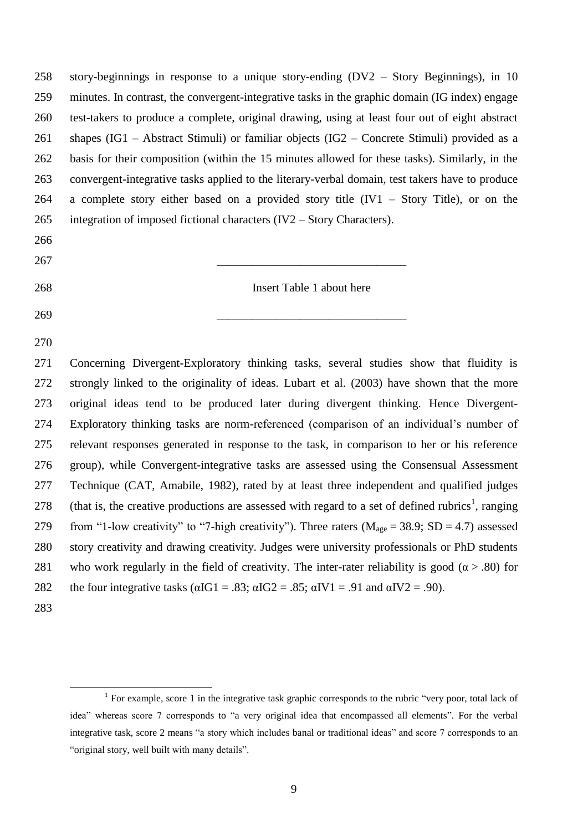| 258 | story-beginnings in response to a unique story-ending $(DV2 - Story Beginning)$ , in 10                          |  |  |  |  |  |
|-----|------------------------------------------------------------------------------------------------------------------|--|--|--|--|--|
| 259 | minutes. In contrast, the convergent-integrative tasks in the graphic domain (IG index) engage                   |  |  |  |  |  |
| 260 | test-takers to produce a complete, original drawing, using at least four out of eight abstract                   |  |  |  |  |  |
| 261 | shapes (IG1 – Abstract Stimuli) or familiar objects (IG2 – Concrete Stimuli) provided as a                       |  |  |  |  |  |
| 262 | basis for their composition (within the 15 minutes allowed for these tasks). Similarly, in the                   |  |  |  |  |  |
| 263 | convergent-integrative tasks applied to the literary-verbal domain, test takers have to produce                  |  |  |  |  |  |
| 264 | a complete story either based on a provided story title $(IV1 - Story Title)$ , or on the                        |  |  |  |  |  |
| 265 | integration of imposed fictional characters $(IV2 - Story Characteristics)$ .                                    |  |  |  |  |  |
| 266 |                                                                                                                  |  |  |  |  |  |
| 267 |                                                                                                                  |  |  |  |  |  |
| 268 | Insert Table 1 about here                                                                                        |  |  |  |  |  |
| 269 |                                                                                                                  |  |  |  |  |  |
| 270 |                                                                                                                  |  |  |  |  |  |
| 271 | Concerning Divergent-Exploratory thinking tasks, several studies show that fluidity is                           |  |  |  |  |  |
| 272 | strongly linked to the originality of ideas. Lubart et al. (2003) have shown that the more                       |  |  |  |  |  |
| 273 | original ideas tend to be produced later during divergent thinking. Hence Divergent-                             |  |  |  |  |  |
| 274 | Exploratory thinking tasks are norm-referenced (comparison of an individual's number of                          |  |  |  |  |  |
| 275 | relevant responses generated in response to the task, in comparison to her or his reference                      |  |  |  |  |  |
| 276 | group), while Convergent-integrative tasks are assessed using the Consensual Assessment                          |  |  |  |  |  |
| 277 | Technique (CAT, Amabile, 1982), rated by at least three independent and qualified judges                         |  |  |  |  |  |
| 278 | (that is, the creative productions are assessed with regard to a set of defined rubrics <sup>1</sup> , ranging   |  |  |  |  |  |
| 279 | from "1-low creativity" to "7-high creativity"). Three raters ( $M_{\text{age}} = 38.9$ ; SD = 4.7) assessed     |  |  |  |  |  |
| 280 | story creativity and drawing creativity. Judges were university professionals or PhD students                    |  |  |  |  |  |
| 281 | who work regularly in the field of creativity. The inter-rater reliability is good ( $\alpha$ > .80) for         |  |  |  |  |  |
| 282 | the four integrative tasks ( $\alpha$ IG1 = .83; $\alpha$ IG2 = .85; $\alpha$ IV1 = .91 and $\alpha$ IV2 = .90). |  |  |  |  |  |
| 283 |                                                                                                                  |  |  |  |  |  |

<u>.</u>

<sup>&</sup>lt;sup>1</sup> For example, score 1 in the integrative task graphic corresponds to the rubric "very poor, total lack of idea" whereas score 7 corresponds to "a very original idea that encompassed all elements". For the verbal integrative task, score 2 means "a story which includes banal or traditional ideas" and score 7 corresponds to an "original story, well built with many details".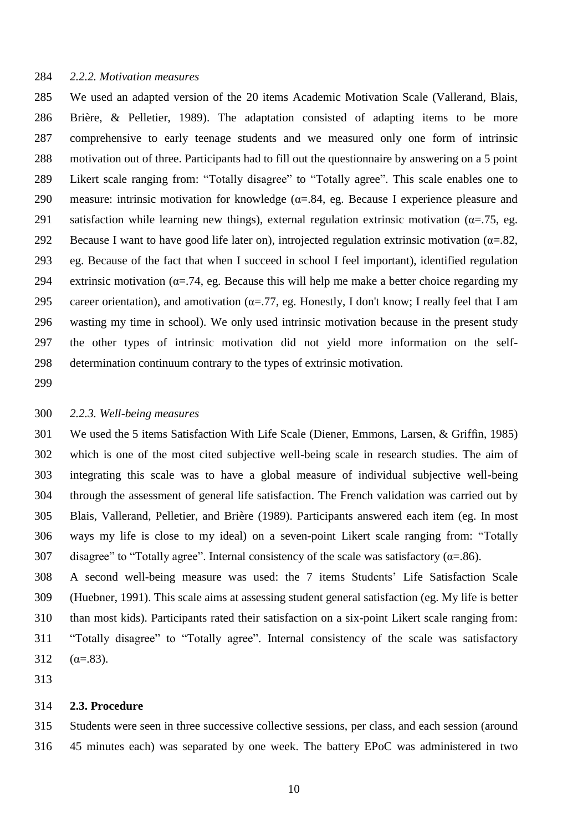### *2.2.2. Motivation measures*

 We used an adapted version of the 20 items Academic Motivation Scale (Vallerand, Blais, Brière, & Pelletier, 1989). The adaptation consisted of adapting items to be more comprehensive to early teenage students and we measured only one form of intrinsic motivation out of three. Participants had to fill out the questionnaire by answering on a 5 point Likert scale ranging from: "Totally disagree" to "Totally agree". This scale enables one to 290 measure: intrinsic motivation for knowledge ( $\alpha$ =.84, eg. Because I experience pleasure and 291 satisfaction while learning new things), external regulation extrinsic motivation ( $\alpha$ =.75, eg. 292 Because I want to have good life later on), introjected regulation extrinsic motivation ( $\alpha = 82$ , eg. Because of the fact that when I succeed in school I feel important), identified regulation 294 extrinsic motivation ( $\alpha$ =.74, eg. Because this will help me make a better choice regarding my 295 career orientation), and amotivation ( $\alpha$ =.77, eg. Honestly, I don't know; I really feel that I am wasting my time in school). We only used intrinsic motivation because in the present study the other types of intrinsic motivation did not yield more information on the self-determination continuum contrary to the types of extrinsic motivation.

#### *2.2.3. Well-being measures*

 We used the 5 items Satisfaction With Life Scale (Diener, Emmons, Larsen, & Griffin, 1985) which is one of the most cited subjective well-being scale in research studies. The aim of integrating this scale was to have a global measure of individual subjective well-being through the assessment of general life satisfaction. The French validation was carried out by Blais, Vallerand, Pelletier, and Brière (1989). Participants answered each item (eg. In most ways my life is close to my ideal) on a seven-point Likert scale ranging from: "Totally 307 disagree" to "Totally agree". Internal consistency of the scale was satisfactory ( $\alpha$ =.86).

 A second well-being measure was used: the 7 items Students' Life Satisfaction Scale (Huebner, 1991). This scale aims at assessing student general satisfaction (eg. My life is better than most kids). Participants rated their satisfaction on a six-point Likert scale ranging from: "Totally disagree" to "Totally agree". Internal consistency of the scale was satisfactory  $(\alpha = .83)$ .

#### **2.3. Procedure**

 Students were seen in three successive collective sessions, per class, and each session (around 45 minutes each) was separated by one week. The battery EPoC was administered in two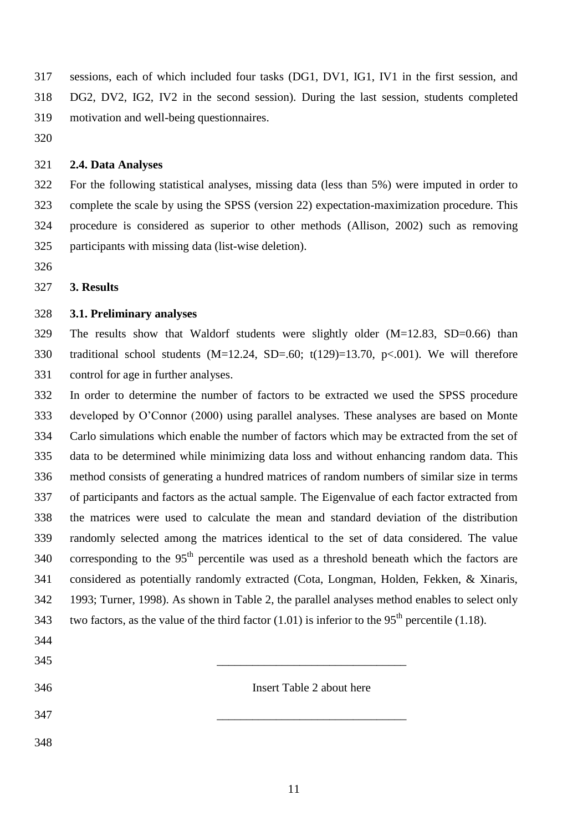sessions, each of which included four tasks (DG1, DV1, IG1, IV1 in the first session, and DG2, DV2, IG2, IV2 in the second session). During the last session, students completed motivation and well-being questionnaires.

#### **2.4. Data Analyses**

 For the following statistical analyses, missing data (less than 5%) were imputed in order to complete the scale by using the SPSS (version 22) expectation-maximization procedure. This procedure is considered as superior to other methods (Allison, 2002) such as removing participants with missing data (list-wise deletion).

# **3. Results**

#### **3.1. Preliminary analyses**

 The results show that Waldorf students were slightly older (M=12.83, SD=0.66) than traditional school students (M=12.24, SD=.60; t(129)=13.70, p<.001). We will therefore control for age in further analyses.

 In order to determine the number of factors to be extracted we used the SPSS procedure developed by O'Connor (2000) using parallel analyses. These analyses are based on Monte Carlo simulations which enable the number of factors which may be extracted from the set of data to be determined while minimizing data loss and without enhancing random data. This method consists of generating a hundred matrices of random numbers of similar size in terms of participants and factors as the actual sample. The Eigenvalue of each factor extracted from the matrices were used to calculate the mean and standard deviation of the distribution randomly selected among the matrices identical to the set of data considered. The value 340 corresponding to the  $95<sup>th</sup>$  percentile was used as a threshold beneath which the factors are considered as potentially randomly extracted (Cota, Longman, Holden, Fekken, & Xinaris, 1993; Turner, 1998). As shown in Table 2, the parallel analyses method enables to select only 343 two factors, as the value of the third factor (1.01) is inferior to the  $95<sup>th</sup>$  percentile (1.18).

| ⌒<br>.<br>ັ |  |
|-------------|--|
|             |  |

- Insert Table 2 about here
- 
- \_\_\_\_\_\_\_\_\_\_\_\_\_\_\_\_\_\_\_\_\_\_\_\_\_\_\_\_\_\_\_\_
-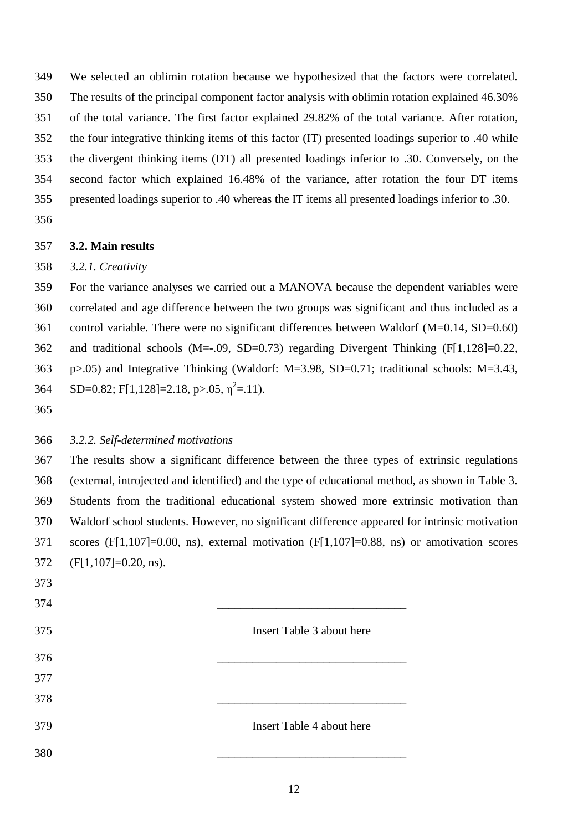We selected an oblimin rotation because we hypothesized that the factors were correlated. The results of the principal component factor analysis with oblimin rotation explained 46.30% of the total variance. The first factor explained 29.82% of the total variance. After rotation, the four integrative thinking items of this factor (IT) presented loadings superior to .40 while the divergent thinking items (DT) all presented loadings inferior to .30. Conversely, on the second factor which explained 16.48% of the variance, after rotation the four DT items presented loadings superior to .40 whereas the IT items all presented loadings inferior to .30. 

### **3.2. Main results**

### *3.2.1. Creativity*

 For the variance analyses we carried out a MANOVA because the dependent variables were correlated and age difference between the two groups was significant and thus included as a control variable. There were no significant differences between Waldorf (M=0.14, SD=0.60) and traditional schools (M=-.09, SD=0.73) regarding Divergent Thinking (F[1,128]=0.22, p>.05) and Integrative Thinking (Waldorf: M=3.98, SD=0.71; traditional schools: M=3.43, SD=0.82; F[1,128]=2.18, p>.05,  $\eta^2$ =.11).

# *3.2.2. Self-determined motivations*

 The results show a significant difference between the three types of extrinsic regulations (external, introjected and identified) and the type of educational method, as shown in Table 3. Students from the traditional educational system showed more extrinsic motivation than Waldorf school students. However, no significant difference appeared for intrinsic motivation scores (F[1,107]=0.00, ns), external motivation (F[1,107]=0.88, ns) or amotivation scores (F[1,107]=0.20, ns).

| 373 |                           |
|-----|---------------------------|
| 374 |                           |
| 375 | Insert Table 3 about here |
| 376 |                           |
| 377 |                           |
| 378 |                           |
| 379 | Insert Table 4 about here |
| 380 |                           |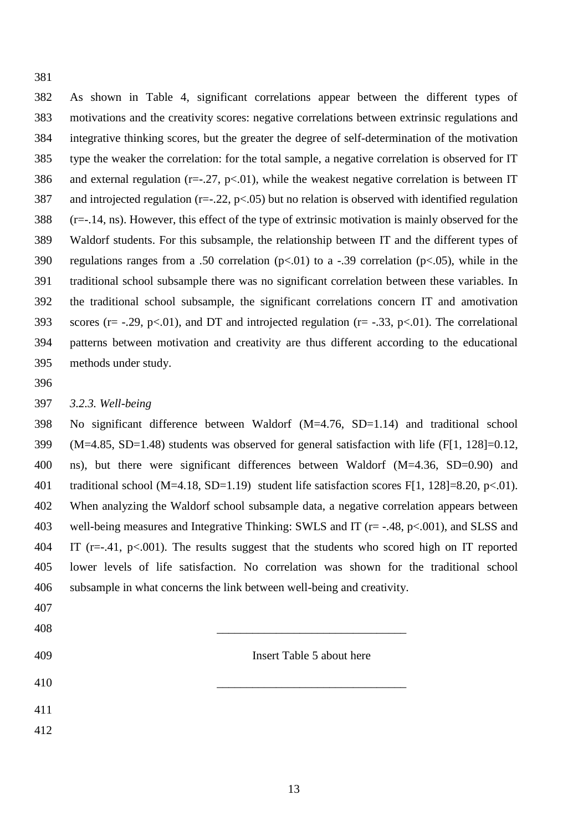As shown in Table 4, significant correlations appear between the different types of motivations and the creativity scores: negative correlations between extrinsic regulations and integrative thinking scores, but the greater the degree of self-determination of the motivation type the weaker the correlation: for the total sample, a negative correlation is observed for IT 386 and external regulation ( $r=-.27$ ,  $p<-01$ ), while the weakest negative correlation is between IT and introjected regulation (r=-.22, p<.05) but no relation is observed with identified regulation (r=-.14, ns). However, this effect of the type of extrinsic motivation is mainly observed for the Waldorf students. For this subsample, the relationship between IT and the different types of 390 regulations ranges from a .50 correlation ( $p<0.01$ ) to a -.39 correlation ( $p<0.05$ ), while in the traditional school subsample there was no significant correlation between these variables. In the traditional school subsample, the significant correlations concern IT and amotivation 393 scores ( $r = -0.29$ ,  $p < 0.01$ ), and DT and introjected regulation ( $r = -0.33$ ,  $p < 0.01$ ). The correlational patterns between motivation and creativity are thus different according to the educational methods under study.

### *3.2.3. Well-being*

 No significant difference between Waldorf (M=4.76, SD=1.14) and traditional school (M=4.85, SD=1.48) students was observed for general satisfaction with life (F[1, 128]=0.12, ns), but there were significant differences between Waldorf (M=4.36, SD=0.90) and traditional school (M=4.18, SD=1.19) student life satisfaction scores F[1, 128]=8.20, p<.01). When analyzing the Waldorf school subsample data, a negative correlation appears between 403 well-being measures and Integrative Thinking: SWLS and IT (r= -.48, p<.001), and SLSS and IT (r=-.41, p<.001). The results suggest that the students who scored high on IT reported lower levels of life satisfaction. No correlation was shown for the traditional school subsample in what concerns the link between well-being and creativity.

- 
- \_\_\_\_\_\_\_\_\_\_\_\_\_\_\_\_\_\_\_\_\_\_\_\_\_\_\_\_\_\_\_\_
- Insert Table 5 about here
- \_\_\_\_\_\_\_\_\_\_\_\_\_\_\_\_\_\_\_\_\_\_\_\_\_\_\_\_\_\_\_\_
- 
-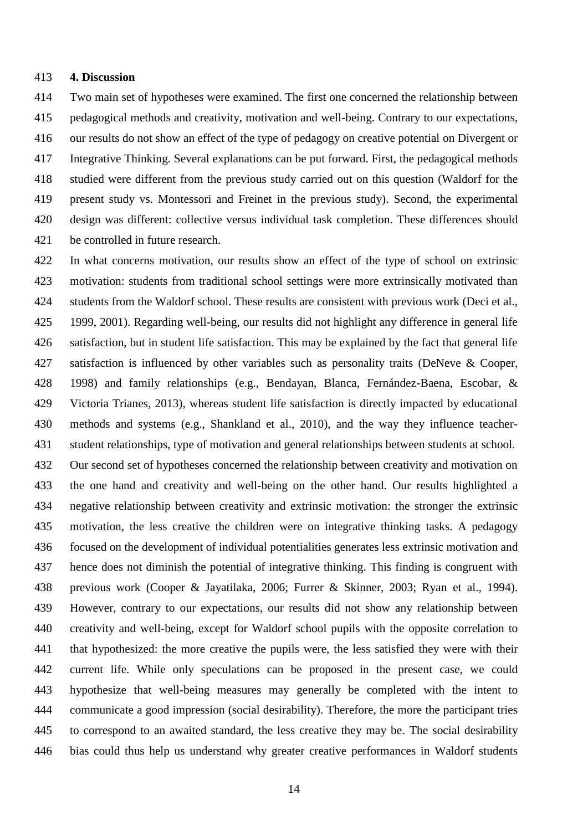### **4. Discussion**

 Two main set of hypotheses were examined. The first one concerned the relationship between pedagogical methods and creativity, motivation and well-being. Contrary to our expectations, our results do not show an effect of the type of pedagogy on creative potential on Divergent or Integrative Thinking. Several explanations can be put forward. First, the pedagogical methods studied were different from the previous study carried out on this question (Waldorf for the present study vs. Montessori and Freinet in the previous study). Second, the experimental design was different: collective versus individual task completion. These differences should be controlled in future research.

 In what concerns motivation, our results show an effect of the type of school on extrinsic motivation: students from traditional school settings were more extrinsically motivated than 424 students from the Waldorf school. These results are consistent with previous work (Deci et al., 1999, 2001). Regarding well-being, our results did not highlight any difference in general life satisfaction, but in student life satisfaction. This may be explained by the fact that general life 427 satisfaction is influenced by other variables such as personality traits (DeNeve & Cooper, 1998) and family relationships (e.g., Bendayan, Blanca, Fernández-Baena, Escobar, & Victoria Trianes, 2013), whereas student life satisfaction is directly impacted by educational methods and systems (e.g., Shankland et al., 2010), and the way they influence teacher- student relationships, type of motivation and general relationships between students at school. Our second set of hypotheses concerned the relationship between creativity and motivation on the one hand and creativity and well-being on the other hand. Our results highlighted a negative relationship between creativity and extrinsic motivation: the stronger the extrinsic motivation, the less creative the children were on integrative thinking tasks. A pedagogy focused on the development of individual potentialities generates less extrinsic motivation and hence does not diminish the potential of integrative thinking. This finding is congruent with previous work (Cooper & Jayatilaka, 2006; Furrer & Skinner, 2003; Ryan et al., 1994). However, contrary to our expectations, our results did not show any relationship between creativity and well-being, except for Waldorf school pupils with the opposite correlation to that hypothesized: the more creative the pupils were, the less satisfied they were with their current life. While only speculations can be proposed in the present case, we could hypothesize that well-being measures may generally be completed with the intent to communicate a good impression (social desirability). Therefore, the more the participant tries to correspond to an awaited standard, the less creative they may be. The social desirability bias could thus help us understand why greater creative performances in Waldorf students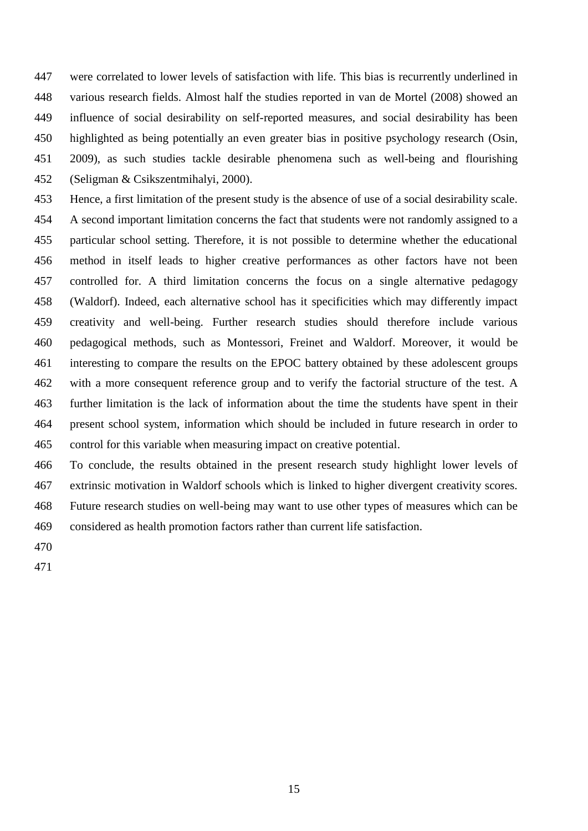were correlated to lower levels of satisfaction with life. This bias is recurrently underlined in various research fields. Almost half the studies reported in van de Mortel (2008) showed an influence of social desirability on self-reported measures, and social desirability has been highlighted as being potentially an even greater bias in positive psychology research (Osin, 2009), as such studies tackle desirable phenomena such as well-being and flourishing (Seligman & Csikszentmihalyi, 2000).

 Hence, a first limitation of the present study is the absence of use of a social desirability scale. A second important limitation concerns the fact that students were not randomly assigned to a particular school setting. Therefore, it is not possible to determine whether the educational method in itself leads to higher creative performances as other factors have not been controlled for. A third limitation concerns the focus on a single alternative pedagogy (Waldorf). Indeed, each alternative school has it specificities which may differently impact creativity and well-being. Further research studies should therefore include various pedagogical methods, such as Montessori, Freinet and Waldorf. Moreover, it would be interesting to compare the results on the EPOC battery obtained by these adolescent groups with a more consequent reference group and to verify the factorial structure of the test. A further limitation is the lack of information about the time the students have spent in their present school system, information which should be included in future research in order to control for this variable when measuring impact on creative potential.

 To conclude, the results obtained in the present research study highlight lower levels of extrinsic motivation in Waldorf schools which is linked to higher divergent creativity scores. Future research studies on well-being may want to use other types of measures which can be considered as health promotion factors rather than current life satisfaction.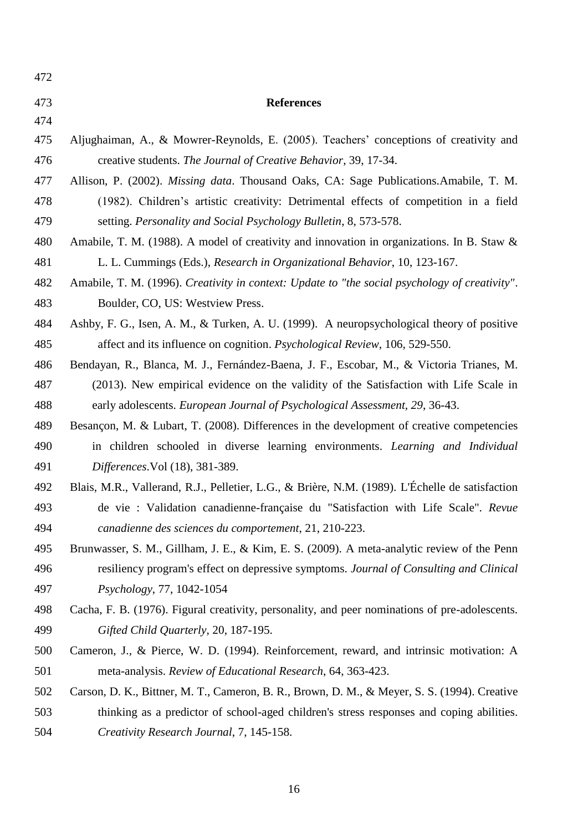| 472 |                                                                                                 |
|-----|-------------------------------------------------------------------------------------------------|
| 473 | <b>References</b>                                                                               |
| 474 |                                                                                                 |
| 475 | Aljughaiman, A., & Mowrer-Reynolds, E. (2005). Teachers' conceptions of creativity and          |
| 476 | creative students. The Journal of Creative Behavior, 39, 17-34.                                 |
| 477 | Allison, P. (2002). Missing data. Thousand Oaks, CA: Sage Publications. Amabile, T. M.          |
| 478 | (1982). Children's artistic creativity: Detrimental effects of competition in a field           |
| 479 | setting. Personality and Social Psychology Bulletin, 8, 573-578.                                |
| 480 | Amabile, T. M. (1988). A model of creativity and innovation in organizations. In B. Staw &      |
| 481 | L. L. Cummings (Eds.), Research in Organizational Behavior, 10, 123-167.                        |
| 482 | Amabile, T. M. (1996). Creativity in context: Update to "the social psychology of creativity".  |
| 483 | Boulder, CO, US: Westview Press.                                                                |
| 484 | Ashby, F. G., Isen, A. M., & Turken, A. U. (1999). A neuropsychological theory of positive      |
| 485 | affect and its influence on cognition. <i>Psychological Review</i> , 106, 529-550.              |
| 486 | Bendayan, R., Blanca, M. J., Fernández-Baena, J. F., Escobar, M., & Victoria Trianes, M.        |
| 487 | (2013). New empirical evidence on the validity of the Satisfaction with Life Scale in           |
| 488 | early adolescents. European Journal of Psychological Assessment, 29, 36-43.                     |
| 489 | Besançon, M. & Lubart, T. (2008). Differences in the development of creative competencies       |
| 490 | in children schooled in diverse learning environments. Learning and Individual                  |
| 491 | Differences. Vol (18), 381-389.                                                                 |
| 492 | Blais, M.R., Vallerand, R.J., Pelletier, L.G., & Brière, N.M. (1989). L'Échelle de satisfaction |
| 493 | de vie : Validation canadienne-française du "Satisfaction with Life Scale". Revue               |
| 494 | canadienne des sciences du comportement, 21, 210-223.                                           |
| 495 | Brunwasser, S. M., Gillham, J. E., & Kim, E. S. (2009). A meta-analytic review of the Penn      |
| 496 | resiliency program's effect on depressive symptoms. Journal of Consulting and Clinical          |
| 497 | Psychology, 77, 1042-1054                                                                       |
| 498 | Cacha, F. B. (1976). Figural creativity, personality, and peer nominations of pre-adolescents.  |
| 499 | Gifted Child Quarterly, 20, 187-195.                                                            |
| 500 | Cameron, J., & Pierce, W. D. (1994). Reinforcement, reward, and intrinsic motivation: A         |
| 501 | meta-analysis. Review of Educational Research, 64, 363-423.                                     |
| 502 | Carson, D. K., Bittner, M. T., Cameron, B. R., Brown, D. M., & Meyer, S. S. (1994). Creative    |
| 503 | thinking as a predictor of school-aged children's stress responses and coping abilities.        |
| 504 | Creativity Research Journal, 7, 145-158.                                                        |
|     |                                                                                                 |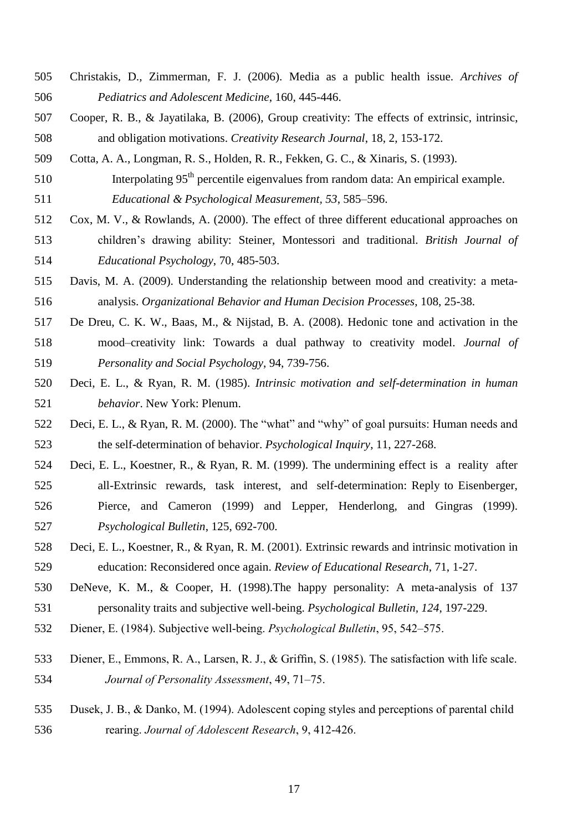- Christakis, D., Zimmerman, F. J. (2006). Media as a public health issue. *Archives of Pediatrics and Adolescent Medicine*, 160, 445-446.
- Cooper, R. B., & Jayatilaka, B. (2006), Group creativity: The effects of extrinsic, intrinsic, and obligation motivations. *Creativity Research Journal*, 18, 2, 153-172.
- Cotta, A. A., Longman, R. S., Holden, R. R., Fekken, G. C., & Xinaris, S. (1993).
- Interpolating 95<sup>th</sup> percentile eigenvalues from random data: An empirical example. *Educational & Psychological Measurement, 53*, 585–596.
- Cox, M. V., & Rowlands, A. (2000). The effect of three different educational approaches on children's drawing ability: Steiner, Montessori and traditional. *British Journal of Educational Psychology*, 70, 485-503.
- Davis, M. A. (2009). Understanding the relationship between mood and creativity: a meta-analysis. *Organizational Behavior and Human Decision Processes*, 108, 25-38.
- De Dreu, C. K. W., Baas, M., & Nijstad, B. A. (2008). Hedonic tone and activation in the mood–creativity link: Towards a dual pathway to creativity model. *Journal of Personality and Social Psychology*, 94, 739-756.
- Deci, E. L., & Ryan, R. M. (1985). *Intrinsic motivation and self-determination in human behavior*. New York: Plenum.
- Deci, E. L., & Ryan, R. M. (2000). The "what" and "why" of goal pursuits: Human needs and the self-determination of behavior. *Psychological Inquiry*, 11, 227-268.
- Deci, E. L., Koestner, R., & Ryan, R. M. (1999). The undermining effect is a reality after all-Extrinsic rewards, task interest, and self-determination: Reply to Eisenberger, Pierce, and Cameron (1999) and Lepper, Henderlong, and Gingras (1999). *Psychological Bulletin*, 125, 692-700.
- Deci, E. L., Koestner, R., & Ryan, R. M. (2001). Extrinsic rewards and intrinsic motivation in education: Reconsidered once again. *Review of Educational Research*, 71, 1-27.
- DeNeve, K. M., & Cooper, H. (1998).The happy personality: A meta-analysis of 137 personality traits and subjective well-being. *Psychological Bulletin, 124*, 197-229.
- Diener, E. (1984). Subjective well-being. *Psychological Bulletin*, 95, 542–575.
- Diener, E., Emmons, R. A., Larsen, R. J., & Griffin, S. (1985). The satisfaction with life scale. *Journal of Personality Assessment*, 49, 71–75.
- Dusek, J. B., & Danko, M. (1994). Adolescent coping styles and perceptions of parental child rearing. *Journal of Adolescent Research*, 9, 412-426.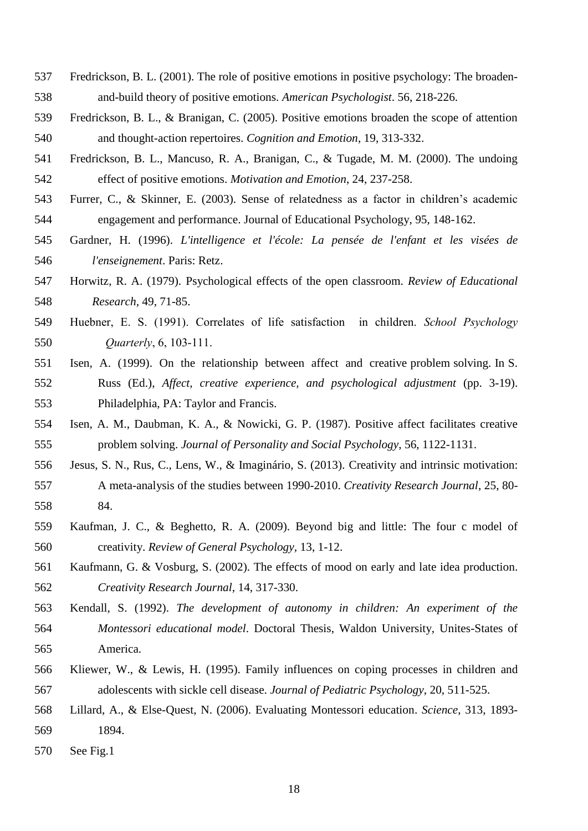- Fredrickson, B. L. (2001). The role of positive emotions in positive psychology: The broaden-and-build theory of positive emotions. *American Psychologist*. 56, 218-226.
- Fredrickson, B. L., & Branigan, C. (2005). Positive emotions broaden the scope of attention and thought-action repertoires. *Cognition and Emotion*, 19, 313-332.
- Fredrickson, B. L., Mancuso, R. A., Branigan, C., & Tugade, M. M. (2000). The undoing effect of positive emotions. *Motivation and Emotion*, 24, 237-258.
- Furrer, C., & Skinner, E. (2003). Sense of relatedness as a factor in children's academic engagement and performance. Journal of Educational Psychology, 95, 148-162.
- Gardner, H. (1996). *L'intelligence et l'école: La pensée de l'enfant et les visées de l'enseignement*. Paris: Retz.
- Horwitz, R. A. (1979). Psychological effects of the open classroom. *Review of Educational Research,* 49, 71-85.
- Huebner, E. S. (1991). Correlates of life satisfaction in children. *School Psychology Quarterly*, 6, 103-111.
- Isen, A. (1999). On the relationship between affect and creative problem solving. In S. Russ (Ed.), *Affect, creative experience, and psychological adjustment* (pp. 3-19). Philadelphia, PA: Taylor and Francis.
- Isen, A. M., Daubman, K. A., & Nowicki, G. P. (1987). Positive affect facilitates creative problem solving. *Journal of Personality and Social Psychology*, 56, 1122-1131.
- Jesus, S. N., Rus, C., Lens, W., & Imaginário, S. (2013). Creativity and intrinsic motivation: A meta-analysis of the studies between 1990-2010. *Creativity Research Journal*, 25, 80- 84.
- Kaufman, J. C., & Beghetto, R. A. (2009). Beyond big and little: The four c model of creativity. *Review of General Psychology,* 13, 1-12.
- Kaufmann, G. & Vosburg, S. (2002). The effects of mood on early and late idea production. *Creativity Research Journal*, 14, 317-330.
- Kendall, S. (1992). *The development of autonomy in children: An experiment of the Montessori educational model*. Doctoral Thesis, Waldon University, Unites-States of America.
- Kliewer, W., & Lewis, H. (1995). Family influences on coping processes in children and adolescents with sickle cell disease. *Journal of Pediatric Psychology*, 20, 511-525.
- Lillard, A., & Else-Quest, N. (2006). Evaluating Montessori education. *Science*, 313, 1893- 1894.
- See Fig.1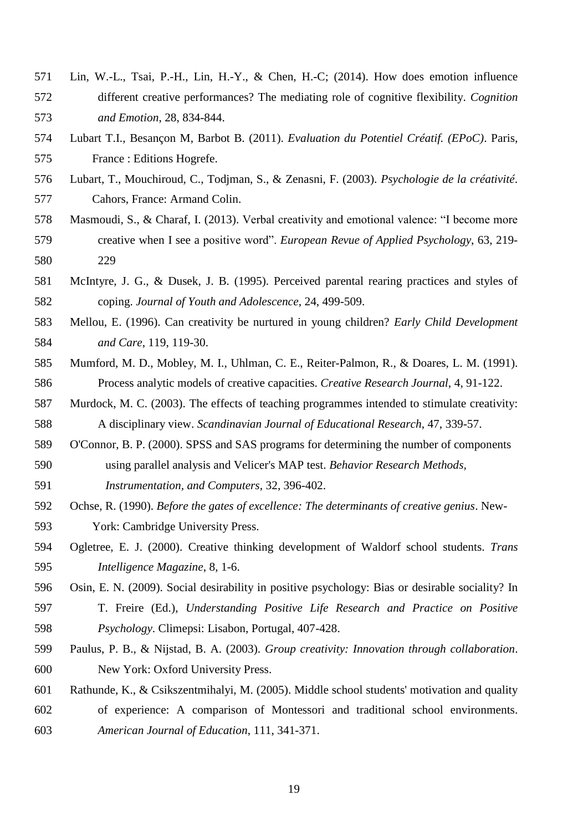- Lin, W.-L., Tsai, P.-H., Lin, H.-Y., & Chen, H.-C; (2014). How does emotion influence different creative performances? The mediating role of cognitive flexibility. *Cognition and Emotion*, 28, 834-844.
- Lubart T.I., Besançon M, Barbot B. (2011). *Evaluation du Potentiel Créatif. (EPoC)*. Paris, France : Editions Hogrefe.
- Lubart, T., Mouchiroud, C., Todjman, S., & Zenasni, F. (2003). *Psychologie de la créativité*. Cahors, France: Armand Colin.
- Masmoudi, S., & Charaf, I. (2013). Verbal creativity and emotional valence: "I become more creative when I see a positive word". *European Revue of Applied Psychology*, 63, 219- 229
- McIntyre, J. G., & Dusek, J. B. (1995). Perceived parental rearing practices and styles of coping. *Journal of Youth and Adolescence*, 24, 499-509.
- Mellou, E. (1996). Can creativity be nurtured in young children? *Early Child Development and Care*, 119, 119-30.
- Mumford, M. D., Mobley, M. I., Uhlman, C. E., Reiter-Palmon, R., & Doares, L. M. (1991). Process analytic models of creative capacities. *Creative Research Journal*, 4, 91-122.
- Murdock, M. C. (2003). The effects of teaching programmes intended to stimulate creativity: A disciplinary view. *Scandinavian Journal of Educational Research*, 47, 339-57.
- O'Connor, B. P. (2000). SPSS and SAS programs for determining the number of components using parallel analysis and Velicer's MAP test. *Behavior Research Methods,*
- *Instrumentation, and Computers*, 32, 396-402.
- Ochse, R. (1990). *Before the gates of excellence: The determinants of creative genius*. New-York: Cambridge University Press.
- Ogletree, E. J. (2000). Creative thinking development of Waldorf school students. *Trans Intelligence Magazine*, 8, 1-6.
- Osin, E. N. (2009). Social desirability in positive psychology: Bias or desirable sociality? In
- T. Freire (Ed.), *Understanding Positive Life Research and Practice on Positive Psychology*. Climepsi: Lisabon, Portugal, 407-428.
- Paulus, P. B., & Nijstad, B. A. (2003). *Group creativity: Innovation through collaboration*. New York: Oxford University Press.
- Rathunde, K., & Csikszentmihalyi, M. (2005). Middle school students' motivation and quality
- of experience: A comparison of Montessori and traditional school environments. *American Journal of Education*, 111, 341-371.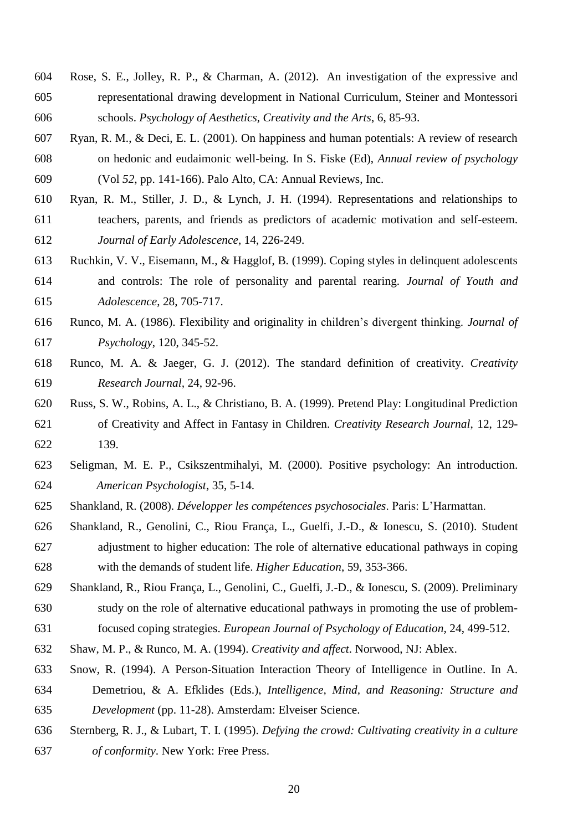- Rose, S. E., Jolley, R. P., & Charman, A. (2012). An investigation of the expressive and representational drawing development in National Curriculum, Steiner and Montessori schools. *Psychology of Aesthetics, Creativity and the Arts*, 6, 85-93.
- Ryan, R. M., & Deci, E. L. (2001). On happiness and human potentials: A review of research on hedonic and eudaimonic well-being. In S. Fiske (Ed), *Annual review of psychology* (Vol *52*, pp. 141-166). Palo Alto, CA: Annual Reviews, Inc.
- Ryan, R. M., Stiller, J. D., & Lynch, J. H. (1994). Representations and relationships to teachers, parents, and friends as predictors of academic motivation and self-esteem. *Journal of Early Adolescence*, 14, 226-249.
- Ruchkin, V. V., Eisemann, M., & Hagglof, B. (1999). Coping styles in delinquent adolescents and controls: The role of personality and parental rearing. *Journal of Youth and Adolescence*, 28, 705-717.
- Runco, M. A. (1986). Flexibility and originality in children's divergent thinking. *Journal of Psychology*, 120, 345-52.
- Runco, M. A. & Jaeger, G. J. (2012). The standard definition of creativity. *Creativity Research Journal,* 24, 92-96.
- Russ, S. W., Robins, A. L., & Christiano, B. A. (1999). Pretend Play: Longitudinal Prediction of Creativity and Affect in Fantasy in Children. *Creativity Research Journal*, 12, 129- 139.
- Seligman, M. E. P., Csikszentmihalyi, M. (2000). Positive psychology: An introduction. *American Psychologist*, 35, 5-14.
- Shankland, R. (2008). *Développer les compétences psychosociales*. Paris: L'Harmattan.
- Shankland, R., Genolini, C., Riou França, L., Guelfi, J.-D., & Ionescu, S. (2010). Student adjustment to higher education: The role of alternative educational pathways in coping with the demands of student life. *Higher Education*, 59, 353-366.
- Shankland, R., Riou França, L., Genolini, C., Guelfi, J.-D., & Ionescu, S. (2009). Preliminary study on the role of alternative educational pathways in promoting the use of problem-focused coping strategies. *European Journal of Psychology of Education*, 24, 499-512.
- Shaw, M. P., & Runco, M. A. (1994). *Creativity and affect*. Norwood, NJ: Ablex.
- Snow, R. (1994). A Person-Situation Interaction Theory of Intelligence in Outline. In A.
- Demetriou, & A. Efklides (Eds.), *Intelligence, Mind, and Reasoning: Structure and Development* (pp. 11-28). Amsterdam: Elveiser Science.
- Sternberg, R. J., & Lubart, T. I. (1995). *Defying the crowd: Cultivating creativity in a culture of conformity*. New York: Free Press.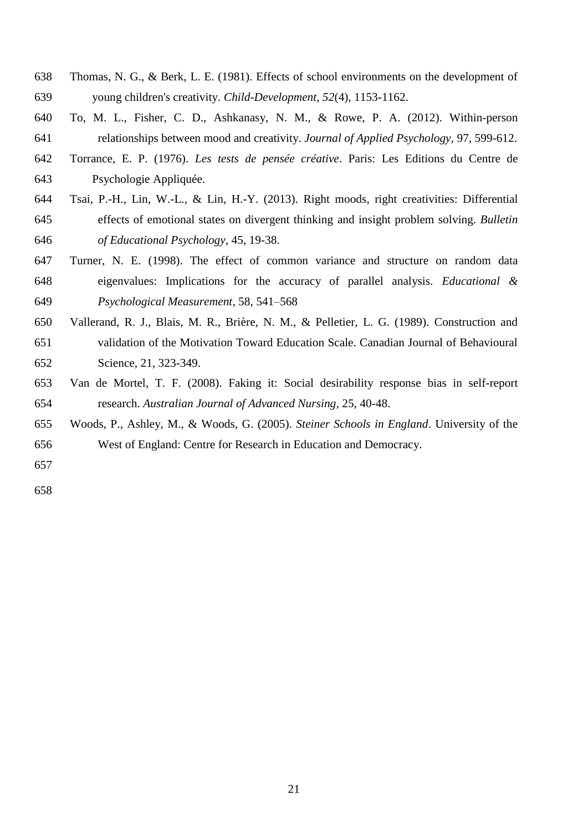- Thomas, N. G., & Berk, L. E. (1981). Effects of school environments on the development of young children's creativity. *Child-Development, 52*(4), 1153-1162.
- To, M. L., Fisher, C. D., Ashkanasy, N. M., & Rowe, P. A. (2012). Within-person relationships between mood and creativity. *Journal of Applied Psychology*, 97, 599-612.
- Torrance, E. P. (1976). *Les tests de pensée créative*. Paris: Les Editions du Centre de Psychologie Appliquée.
- Tsai, P.-H., Lin, W.-L., & Lin, H.-Y. (2013). Right moods, right creativities: Differential effects of emotional states on divergent thinking and insight problem solving. *Bulletin of Educational Psychology*, 45, 19-38.
- Turner, N. E. (1998). The effect of common variance and structure on random data eigenvalues: Implications for the accuracy of parallel analysis. *Educational & Psychological Measurement*, 58, 541–568
- Vallerand, R. J., Blais, M. R., Brière, N. M., & Pelletier, L. G. (1989). Construction and validation of the Motivation Toward Education Scale. Canadian Journal of Behavioural Science, 21, 323-349.
- Van de Mortel, T. F. (2008). Faking it: Social desirability response bias in self-report research. *Australian Journal of Advanced Nursing*, 25, 40-48.
- Woods, P., Ashley, M., & Woods, G. (2005). *Steiner Schools in England*. University of the West of England: Centre for Research in Education and Democracy.
-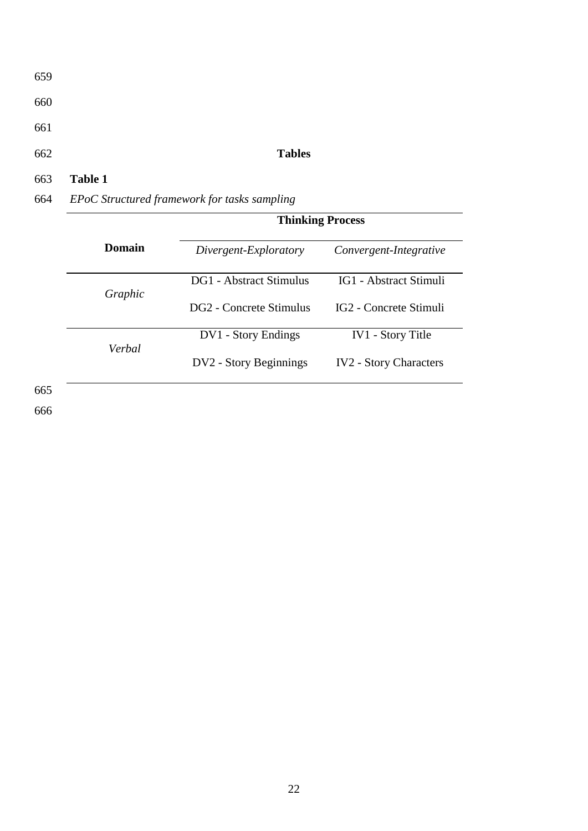| 659 |         |               |  |
|-----|---------|---------------|--|
| 660 |         |               |  |
| 661 |         |               |  |
| 662 |         | <b>Tables</b> |  |
| 663 | Table 1 |               |  |

# 664 *EPoC Structured framework for tasks sampling*

|         | <b>Thinking Process</b> |                                    |  |  |  |
|---------|-------------------------|------------------------------------|--|--|--|
| Domain  | Divergent-Exploratory   | Convergent-Integrative             |  |  |  |
|         | DG1 - Abstract Stimulus | IG1 - Abstract Stimuli             |  |  |  |
| Graphic | DG2 - Concrete Stimulus | IG <sub>2</sub> - Concrete Stimuli |  |  |  |
| Verbal  | DV1 - Story Endings     | <b>IV1</b> - Story Title           |  |  |  |
|         | DV2 - Story Beginnings  | <b>IV2</b> - Story Characters      |  |  |  |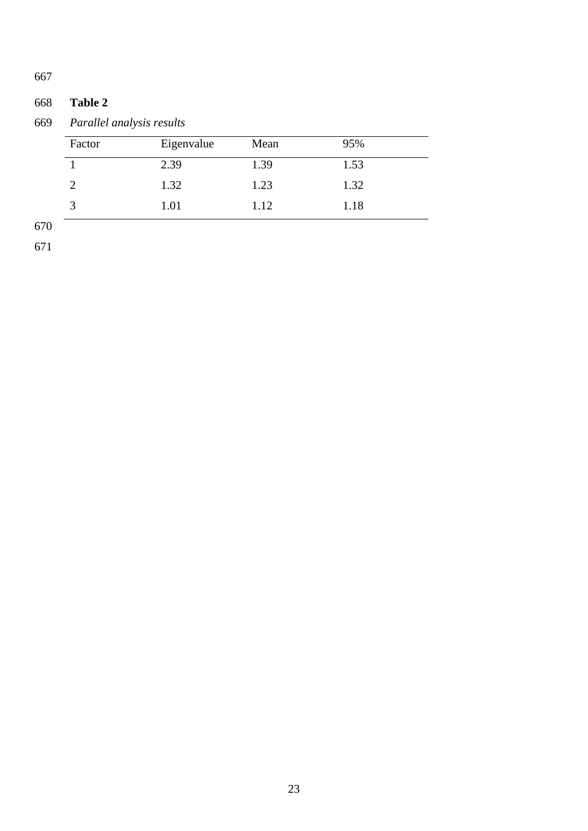# **Table 2**

*Parallel analysis results*

| Factor | Eigenvalue | Mean | 95%  |  |
|--------|------------|------|------|--|
|        | 2.39       | 1.39 | 1.53 |  |
|        | 1.32       | 1.23 | 1.32 |  |
| ⌒<br>Ć | 1.01       | 1.12 | 1.18 |  |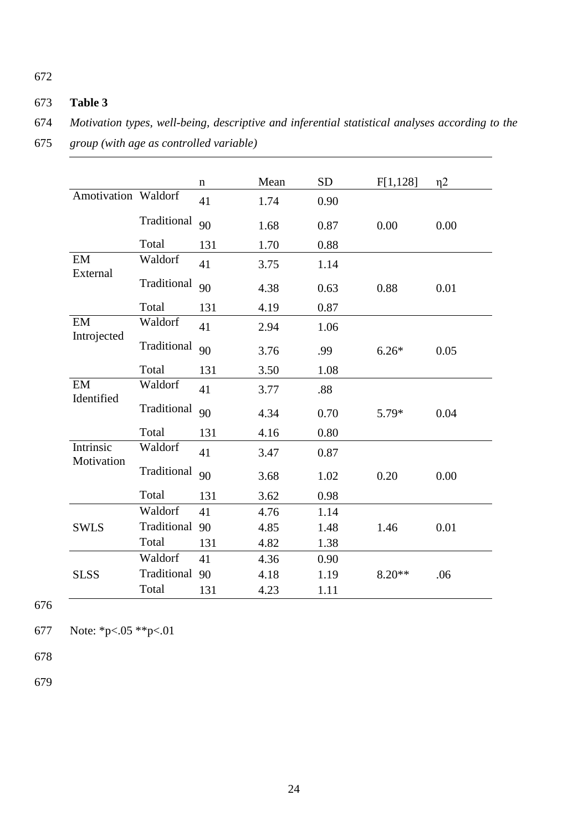# 673 **Table 3**

674 *Motivation types, well-being, descriptive and inferential statistical analyses according to the* 

<sup>675</sup> *group (with age as controlled variable)* 

|                         |             | $\mathbf n$ | Mean | <b>SD</b> | F[1,128] | $\eta$ 2 |
|-------------------------|-------------|-------------|------|-----------|----------|----------|
| Amotivation Waldorf     |             | 41          | 1.74 | 0.90      |          |          |
|                         | Traditional | 90          | 1.68 | 0.87      | 0.00     | 0.00     |
|                         | Total       | 131         | 1.70 | 0.88      |          |          |
| EM<br>External          | Waldorf     | 41          | 3.75 | 1.14      |          |          |
|                         | Traditional | 90          | 4.38 | 0.63      | 0.88     | 0.01     |
|                         | Total       | 131         | 4.19 | 0.87      |          |          |
| EM<br>Introjected       | Waldorf     | 41          | 2.94 | 1.06      |          |          |
|                         | Traditional | 90          | 3.76 | .99       | $6.26*$  | 0.05     |
|                         | Total       | 131         | 3.50 | 1.08      |          |          |
| EM<br>Identified        | Waldorf     | 41          | 3.77 | .88       |          |          |
|                         | Traditional | 90          | 4.34 | 0.70      | $5.79*$  | 0.04     |
|                         | Total       | 131         | 4.16 | 0.80      |          |          |
| Intrinsic<br>Motivation | Waldorf     | 41          | 3.47 | 0.87      |          |          |
|                         | Traditional | 90          | 3.68 | 1.02      | 0.20     | 0.00     |
|                         | Total       | 131         | 3.62 | 0.98      |          |          |
|                         | Waldorf     | 41          | 4.76 | 1.14      |          |          |
| <b>SWLS</b>             | Traditional | 90          | 4.85 | 1.48      | 1.46     | 0.01     |
|                         | Total       | 131         | 4.82 | 1.38      |          |          |
|                         | Waldorf     | 41          | 4.36 | 0.90      |          |          |
| <b>SLSS</b>             | Traditional | 90          | 4.18 | 1.19      | $8.20**$ | .06      |
|                         | Total       | 131         | 4.23 | 1.11      |          |          |

676

677 Note: \*p<.05 \*\*p<.01

678

679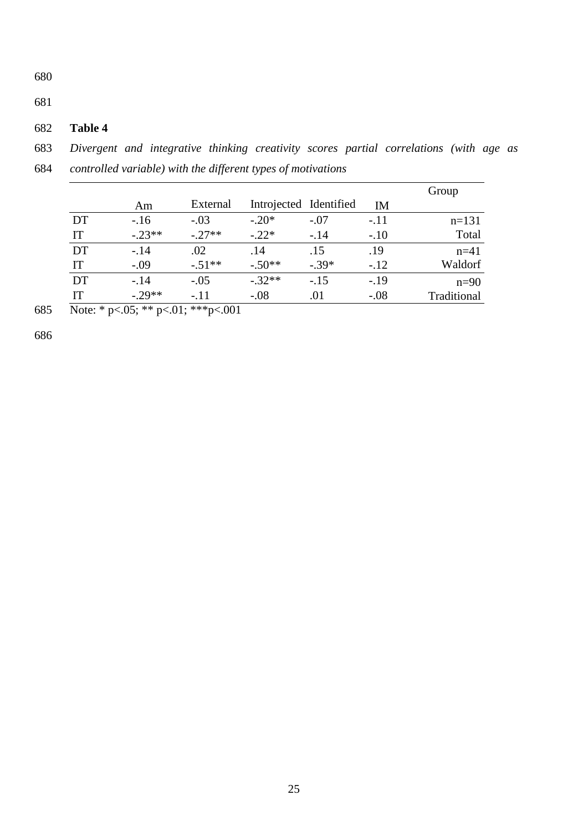681

# 682 **Table 4**

683 *Divergent and integrative thinking creativity scores partial correlations (with age as*  684 *controlled variable) with the different types of motivations* 

| 684 |  |  | controlled variable) with the different types of motivations |  |
|-----|--|--|--------------------------------------------------------------|--|
|     |  |  |                                                              |  |

|    |          |          |          |                        |           | Group       |
|----|----------|----------|----------|------------------------|-----------|-------------|
|    | Am       | External |          | Introjected Identified | <b>IM</b> |             |
| DT | $-.16$   | $-.03$   | $-.20*$  | $-.07$                 | $-.11$    | $n=131$     |
| IT | $-.23**$ | $-.27**$ | $-.22*$  | $-.14$                 | $-.10$    | Total       |
| DT | $-.14$   | .02      | .14      | .15                    | .19       | $n=41$      |
| IT | $-.09$   | $-.51**$ | $-.50**$ | $-39*$                 | $-.12$    | Waldorf     |
| DT | $-.14$   | $-.05$   | $-32**$  | $-.15$                 | $-.19$    | $n=90$      |
| IТ | $-.29**$ | $-.11$   | $-.08$   | .01                    | $-.08$    | Traditional |

685 Note: \* p<.05; \*\* p<.01; \*\*\*p<.001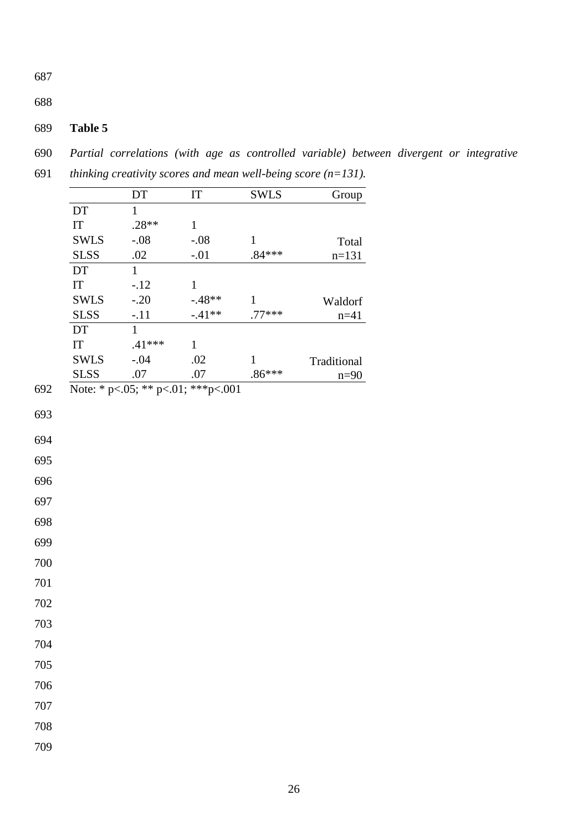688

# 689 **Table 5**

690 *Partial correlations (with age as controlled variable) between divergent or integrative* 

|     |                            | DT                                  | IT             | <b>SWLS</b>              | Group       |
|-----|----------------------------|-------------------------------------|----------------|--------------------------|-------------|
|     | $\mathop{\rm DT}\nolimits$ | $\mathbf{1}$                        |                |                          |             |
|     | $\mathop{\mathrm{IT}}$     | $.28**$                             | $\mathbf{1}$   |                          |             |
|     | <b>SWLS</b>                | $-.08$                              | $-.08$         | $\mathbf{1}$             | Total       |
|     | <b>SLSS</b>                | $.02\,$                             | $-.01$         | $.84***$                 | $n=131$     |
|     | DT                         | $\mathbf{1}$                        |                |                          |             |
|     | $\mathop{\mathrm{IT}}$     | $-.12$                              | $\mathbf{1}$   |                          |             |
|     | <b>SWLS</b>                | $-.20$                              | $-.48**$       | $\mathbf{1}$             | Waldorf     |
|     | <b>SLSS</b>                | $-.11$                              | $-.41**$       | .77***                   | $n = 41$    |
|     | DT                         | $\mathbf{1}$                        |                |                          |             |
|     | $\mathop{\mathrm{IT}}$     | $.41***$                            | $\mathbf{1}$   |                          |             |
|     | <b>SWLS</b><br><b>SLSS</b> | $-.04$<br>.07                       | .02<br>$.07\,$ | $\mathbf{1}$<br>$.86***$ | Traditional |
| 692 |                            | Note: * p<.05; ** p<.01; *** p<.001 |                |                          | $n=90$      |
|     |                            |                                     |                |                          |             |
| 693 |                            |                                     |                |                          |             |
| 694 |                            |                                     |                |                          |             |
| 695 |                            |                                     |                |                          |             |
| 696 |                            |                                     |                |                          |             |
| 697 |                            |                                     |                |                          |             |
| 698 |                            |                                     |                |                          |             |
| 699 |                            |                                     |                |                          |             |
| 700 |                            |                                     |                |                          |             |
| 701 |                            |                                     |                |                          |             |
| 702 |                            |                                     |                |                          |             |
| 703 |                            |                                     |                |                          |             |
| 704 |                            |                                     |                |                          |             |
| 705 |                            |                                     |                |                          |             |
| 706 |                            |                                     |                |                          |             |
| 707 |                            |                                     |                |                          |             |
| 708 |                            |                                     |                |                          |             |
| 709 |                            |                                     |                |                          |             |

691 *thinking creativity scores and mean well-being score (n=131).*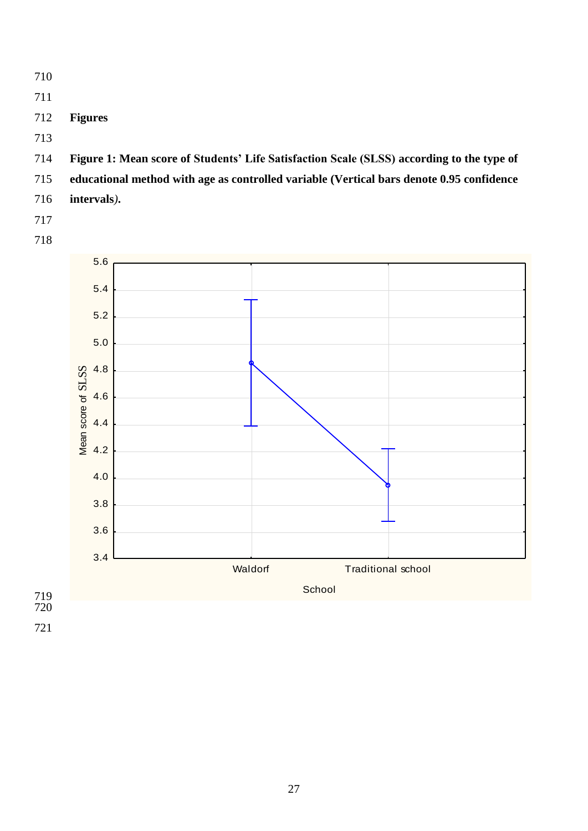- 710
- 711
- 712 **Figures**
- 713
- 714 **Figure 1: Mean score of Students' Life Satisfaction Scale (SLSS) according to the type of**
- 715 **educational method with age as controlled variable (Vertical bars denote 0.95 confidence**
- 716 **intervals***)***.**
- 717
- 718